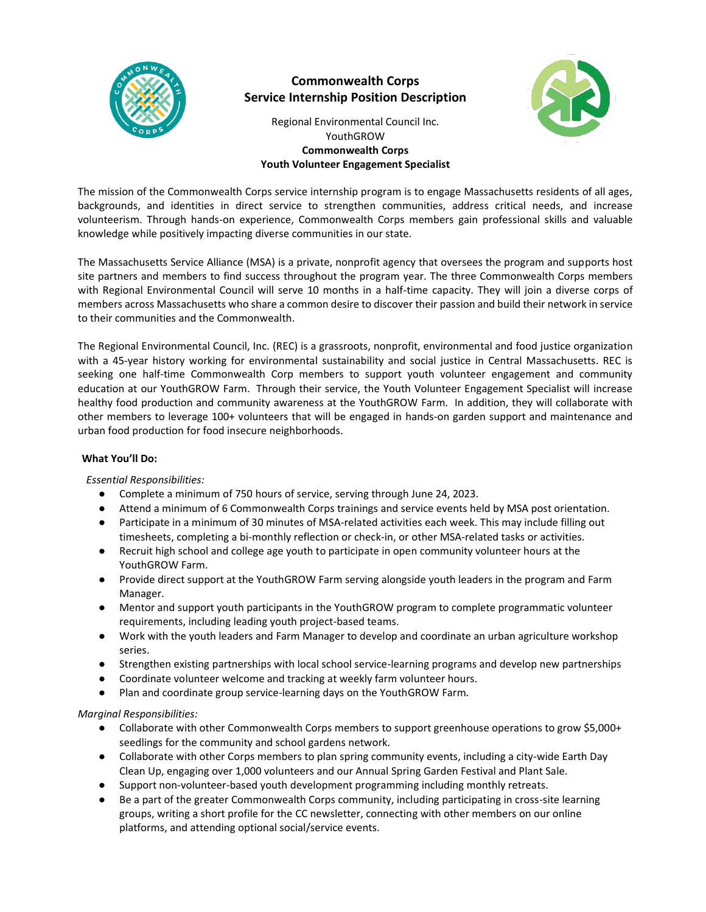

# **Commonwealth Corps Service Internship Position Description**



Regional Environmental Council Inc. YouthGROW **Commonwealth Corps Youth Volunteer Engagement Specialist**

The mission of the Commonwealth Corps service internship program is to engage Massachusetts residents of all ages, backgrounds, and identities in direct service to strengthen communities, address critical needs, and increase volunteerism. Through hands-on experience, Commonwealth Corps members gain professional skills and valuable knowledge while positively impacting diverse communities in our state.

The Massachusetts Service Alliance (MSA) is a private, nonprofit agency that oversees the program and supports host site partners and members to find success throughout the program year. The three Commonwealth Corps members with Regional Environmental Council will serve 10 months in a half-time capacity. They will join a diverse corps of members across Massachusetts who share a common desire to discover their passion and build their network in service to their communities and the Commonwealth.

The Regional Environmental Council, Inc. (REC) is a grassroots, nonprofit, environmental and food justice organization with a 45-year history working for environmental sustainability and social justice in Central Massachusetts. REC is seeking one half-time Commonwealth Corp members to support youth volunteer engagement and community education at our YouthGROW Farm. Through their service, the Youth Volunteer Engagement Specialist will increase healthy food production and community awareness at the YouthGROW Farm. In addition, they will collaborate with other members to leverage 100+ volunteers that will be engaged in hands-on garden support and maintenance and urban food production for food insecure neighborhoods.

## **What You'll Do:**

*Essential Responsibilities:*

- Complete a minimum of 750 hours of service, serving through June 24, 2023.
- Attend a minimum of 6 Commonwealth Corps trainings and service events held by MSA post orientation.
- Participate in a minimum of 30 minutes of MSA-related activities each week. This may include filling out timesheets, completing a bi-monthly reflection or check-in, or other MSA-related tasks or activities.
- Recruit high school and college age youth to participate in open community volunteer hours at the YouthGROW Farm.
- Provide direct support at the YouthGROW Farm serving alongside youth leaders in the program and Farm Manager.
- Mentor and support youth participants in the YouthGROW program to complete programmatic volunteer requirements, including leading youth project-based teams.
- Work with the youth leaders and Farm Manager to develop and coordinate an urban agriculture workshop series.
- Strengthen existing partnerships with local school service-learning programs and develop new partnerships
- Coordinate volunteer welcome and tracking at weekly farm volunteer hours.
- Plan and coordinate group service-learning days on the YouthGROW Farm.

## *Marginal Responsibilities:*

- Collaborate with other Commonwealth Corps members to support greenhouse operations to grow \$5,000+ seedlings for the community and school gardens network.
- Collaborate with other Corps members to plan spring community events, including a city-wide Earth Day Clean Up, engaging over 1,000 volunteers and our Annual Spring Garden Festival and Plant Sale.
- Support non-volunteer-based youth development programming including monthly retreats.
- Be a part of the greater Commonwealth Corps community, including participating in cross-site learning groups, writing a short profile for the CC newsletter, connecting with other members on our online platforms, and attending optional social/service events.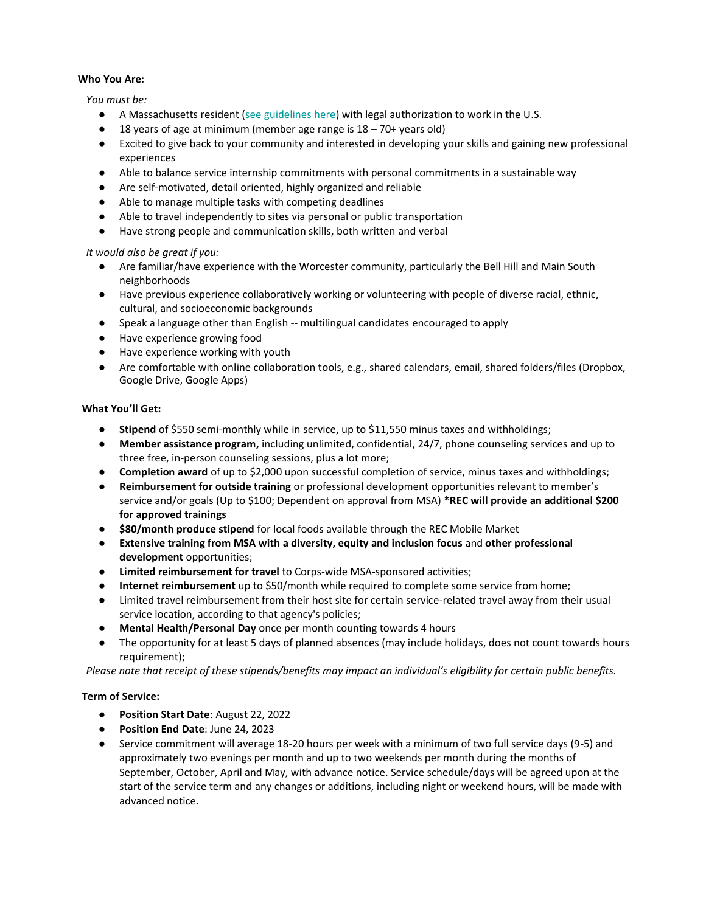## **Who You Are:**

*You must be:*

- A Massachusetts resident [\(see guidelines here\)](http://mass-service.org/sites/default/files/Massachusetts%20Residency%20Requirements_0.pdf) with legal authorization to work in the U.S.
- $\bullet$  18 years of age at minimum (member age range is  $18 70 +$  years old)
- Excited to give back to your community and interested in developing your skills and gaining new professional experiences
- Able to balance service internship commitments with personal commitments in a sustainable way
- Are self-motivated, detail oriented, highly organized and reliable
- Able to manage multiple tasks with competing deadlines
- Able to travel independently to sites via personal or public transportation
- Have strong people and communication skills, both written and verbal

## *It would also be great if you:*

- Are familiar/have experience with the Worcester community, particularly the Bell Hill and Main South neighborhoods
- Have previous experience collaboratively working or volunteering with people of diverse racial, ethnic, cultural, and socioeconomic backgrounds
- Speak a language other than English -- multilingual candidates encouraged to apply
- Have experience growing food
- Have experience working with youth
- Are comfortable with online collaboration tools, e.g., shared calendars, email, shared folders/files (Dropbox, Google Drive, Google Apps)

## **What You'll Get:**

- Stipend of \$550 semi-monthly while in service, up to \$11,550 minus taxes and withholdings;
- **Member assistance program,** including unlimited, confidential, 24/7, phone counseling services and up to three free, in-person counseling sessions, plus a lot more;
- **Completion award** of up to \$2,000 upon successful completion of service, minus taxes and withholdings;
- **Reimbursement for outside training** or professional development opportunities relevant to member's service and/or goals (Up to \$100; Dependent on approval from MSA) **\*REC will provide an additional \$200 for approved trainings**
- \$80/month produce stipend for local foods available through the REC Mobile Market
- **Extensive training from MSA with a diversity, equity and inclusion focus** and **other professional development** opportunities;
- **Limited reimbursement for travel to Corps-wide MSA-sponsored activities;**
- **Internet reimbursement** up to \$50/month while required to complete some service from home;
- Limited travel reimbursement from their host site for certain service-related travel away from their usual service location, according to that agency's policies;
- **Mental Health/Personal Day** once per month counting towards 4 hours
- The opportunity for at least 5 days of planned absences (may include holidays, does not count towards hours requirement);

*Please note that receipt of these stipends/benefits may impact an individual's eligibility for certain public benefits.*

## **Term of Service:**

- **Position Start Date**: August 22, 2022
- **Position End Date**: June 24, 2023
- Service commitment will average 18-20 hours per week with a minimum of two full service days (9-5) and approximately two evenings per month and up to two weekends per month during the months of September, October, April and May, with advance notice. Service schedule/days will be agreed upon at the start of the service term and any changes or additions, including night or weekend hours, will be made with advanced notice.